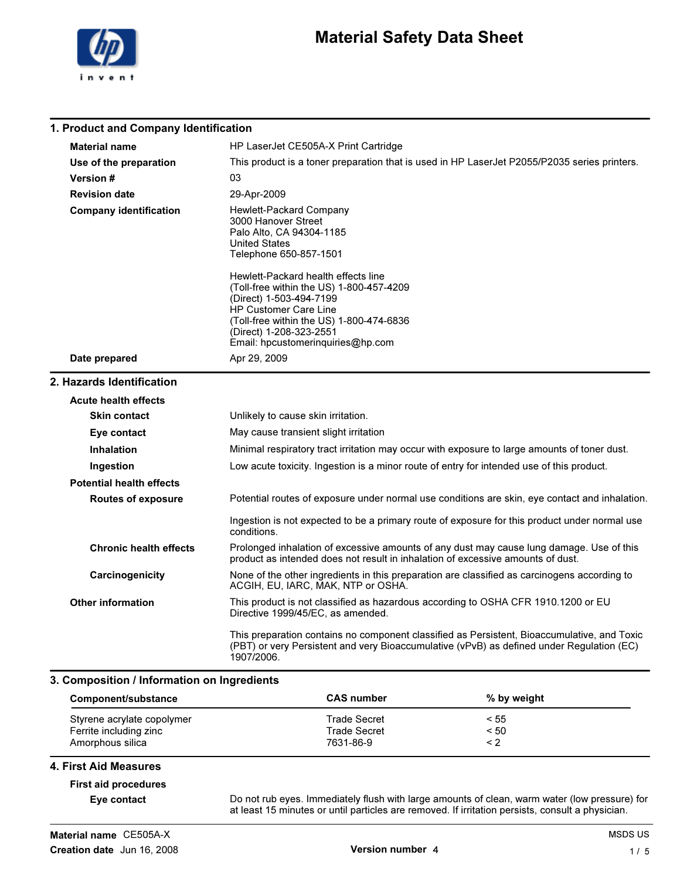

### Material Safety Data Sheet

| 1. Product and Company Identification |                                                                                                                                                                                                                                                        |  |
|---------------------------------------|--------------------------------------------------------------------------------------------------------------------------------------------------------------------------------------------------------------------------------------------------------|--|
| <b>Material name</b>                  | HP LaserJet CE505A-X Print Cartridge                                                                                                                                                                                                                   |  |
| Use of the preparation                | This product is a toner preparation that is used in HP LaserJet P2055/P2035 series printers.                                                                                                                                                           |  |
| Version #                             | 03                                                                                                                                                                                                                                                     |  |
| <b>Revision date</b>                  | 29-Apr-2009                                                                                                                                                                                                                                            |  |
| <b>Company identification</b>         | Hewlett-Packard Company<br>3000 Hanover Street<br>Palo Alto, CA 94304-1185<br><b>United States</b><br>Telephone 650-857-1501                                                                                                                           |  |
|                                       | Hewlett-Packard health effects line<br>(Toll-free within the US) 1-800-457-4209<br>(Direct) 1-503-494-7199<br><b>HP Customer Care Line</b><br>(Toll-free within the US) 1-800-474-6836<br>(Direct) 1-208-323-2551<br>Email: hpcustomerinquiries@hp.com |  |
| Date prepared                         | Apr 29, 2009                                                                                                                                                                                                                                           |  |
| 2. Hazards Identification             |                                                                                                                                                                                                                                                        |  |
| <b>Acute health effects</b>           |                                                                                                                                                                                                                                                        |  |
| <b>Skin contact</b>                   | Unlikely to cause skin irritation.                                                                                                                                                                                                                     |  |
| Eye contact                           | May cause transient slight irritation                                                                                                                                                                                                                  |  |
| <b>Inhalation</b>                     | Minimal respiratory tract irritation may occur with exposure to large amounts of toner dust.                                                                                                                                                           |  |
| Ingestion                             | Low acute toxicity. Ingestion is a minor route of entry for intended use of this product.                                                                                                                                                              |  |
| <b>Potential health effects</b>       |                                                                                                                                                                                                                                                        |  |
| <b>Routes of exposure</b>             | Potential routes of exposure under normal use conditions are skin, eye contact and inhalation.                                                                                                                                                         |  |
|                                       |                                                                                                                                                                                                                                                        |  |

#### Prolonged inhalation of excessive amounts of any dust may cause lung damage. Use of this product as intended does not result in inhalation of excessive amounts of dust. Chronic health effects

Ingestion is not expected to be a primary route of exposure for this product under normal use

None of the other ingredients in this preparation are classified as carcinogens according to ACGIH, EU, IARC, MAK, NTP or OSHA. **Carcinogenicity** 

This product is not classified as hazardous according to OSHA CFR 1910.1200 or EU Directive 1999/45/EC, as amended. Other information

> This preparation contains no component classified as Persistent, Bioaccumulative, and Toxic (PBT) or very Persistent and very Bioaccumulative (vPvB) as defined under Regulation (EC) 1907/2006.

#### 3. Composition / Information on Ingredients

conditions.

| Component/substance        | <b>CAS number</b>   | % by weight |  |
|----------------------------|---------------------|-------------|--|
| Styrene acrylate copolymer | Trade Secret        | < 55        |  |
| Ferrite including zinc     | <b>Trade Secret</b> | < 50        |  |
| Amorphous silica           | 7631-86-9           | $\leq$ 2    |  |

#### 4. First Aid Measures

### First aid procedures

Eye contact Do not rub eyes. Immediately flush with large amounts of clean, warm water (low pressure) for at least 15 minutes or until particles are removed. If irritation persists, consult a physician.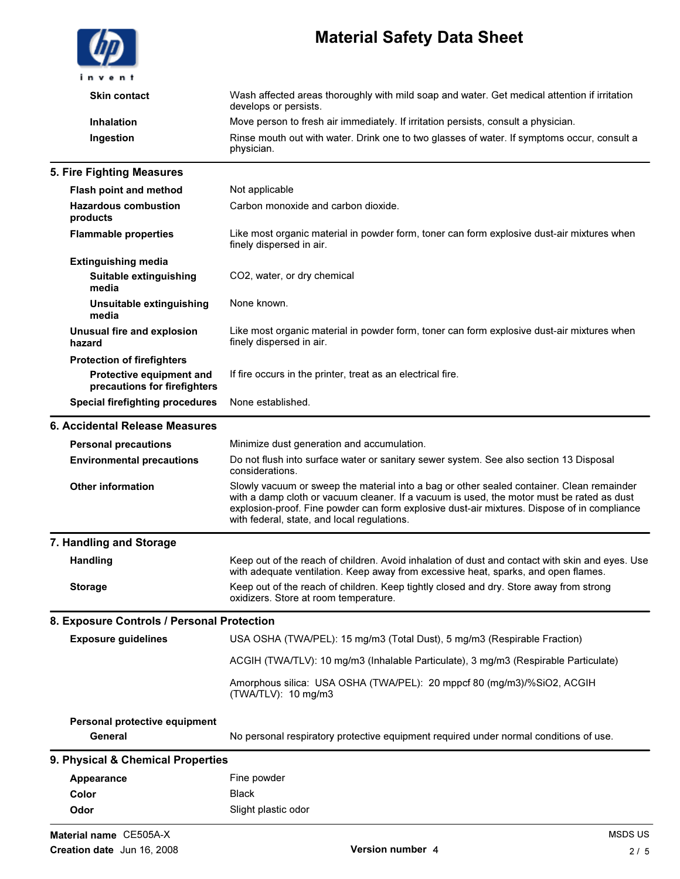|                                                                                               | <b>Material Safety Data Sheet</b>                                                                                                                                                                                                                                                                                                    |
|-----------------------------------------------------------------------------------------------|--------------------------------------------------------------------------------------------------------------------------------------------------------------------------------------------------------------------------------------------------------------------------------------------------------------------------------------|
| in vent                                                                                       |                                                                                                                                                                                                                                                                                                                                      |
| <b>Skin contact</b>                                                                           | Wash affected areas thoroughly with mild soap and water. Get medical attention if irritation<br>develops or persists.                                                                                                                                                                                                                |
| <b>Inhalation</b>                                                                             | Move person to fresh air immediately. If irritation persists, consult a physician.                                                                                                                                                                                                                                                   |
| Ingestion                                                                                     | Rinse mouth out with water. Drink one to two glasses of water. If symptoms occur, consult a<br>physician.                                                                                                                                                                                                                            |
| 5. Fire Fighting Measures                                                                     |                                                                                                                                                                                                                                                                                                                                      |
| <b>Flash point and method</b>                                                                 | Not applicable                                                                                                                                                                                                                                                                                                                       |
| <b>Hazardous combustion</b><br>products                                                       | Carbon monoxide and carbon dioxide.                                                                                                                                                                                                                                                                                                  |
| <b>Flammable properties</b>                                                                   | Like most organic material in powder form, toner can form explosive dust-air mixtures when<br>finely dispersed in air.                                                                                                                                                                                                               |
| <b>Extinguishing media</b><br>Suitable extinguishing<br>media                                 | CO2, water, or dry chemical                                                                                                                                                                                                                                                                                                          |
| Unsuitable extinguishing<br>media                                                             | None known.                                                                                                                                                                                                                                                                                                                          |
| Unusual fire and explosion<br>hazard                                                          | Like most organic material in powder form, toner can form explosive dust-air mixtures when<br>finely dispersed in air.                                                                                                                                                                                                               |
| <b>Protection of firefighters</b><br>Protective equipment and<br>precautions for firefighters | If fire occurs in the printer, treat as an electrical fire.                                                                                                                                                                                                                                                                          |
| <b>Special firefighting procedures</b>                                                        | None established.                                                                                                                                                                                                                                                                                                                    |
| 6. Accidental Release Measures                                                                |                                                                                                                                                                                                                                                                                                                                      |
| <b>Personal precautions</b>                                                                   | Minimize dust generation and accumulation.                                                                                                                                                                                                                                                                                           |
| <b>Environmental precautions</b>                                                              | Do not flush into surface water or sanitary sewer system. See also section 13 Disposal<br>considerations.                                                                                                                                                                                                                            |
| <b>Other information</b>                                                                      | Slowly vacuum or sweep the material into a bag or other sealed container. Clean remainder<br>with a damp cloth or vacuum cleaner. If a vacuum is used, the motor must be rated as dust<br>explosion-proof. Fine powder can form explosive dust-air mixtures. Dispose of in compliance<br>with federal, state, and local regulations. |
| 7. Handling and Storage                                                                       |                                                                                                                                                                                                                                                                                                                                      |
| <b>Handling</b>                                                                               | Keep out of the reach of children. Avoid inhalation of dust and contact with skin and eyes. Use<br>with adequate ventilation. Keep away from excessive heat, sparks, and open flames.                                                                                                                                                |
| <b>Storage</b>                                                                                | Keep out of the reach of children. Keep tightly closed and dry. Store away from strong<br>oxidizers. Store at room temperature.                                                                                                                                                                                                      |
| 8. Exposure Controls / Personal Protection                                                    |                                                                                                                                                                                                                                                                                                                                      |
| <b>Exposure guidelines</b>                                                                    | USA OSHA (TWA/PEL): 15 mg/m3 (Total Dust), 5 mg/m3 (Respirable Fraction)                                                                                                                                                                                                                                                             |
|                                                                                               | ACGIH (TWA/TLV): 10 mg/m3 (Inhalable Particulate), 3 mg/m3 (Respirable Particulate)                                                                                                                                                                                                                                                  |
|                                                                                               | Amorphous silica: USA OSHA (TWA/PEL): 20 mppcf 80 (mg/m3)/%SiO2, ACGIH<br>(TWA/TLV): 10 mg/m3                                                                                                                                                                                                                                        |
| Personal protective equipment<br>General                                                      | No personal respiratory protective equipment required under normal conditions of use.                                                                                                                                                                                                                                                |
| 9. Physical & Chemical Properties                                                             |                                                                                                                                                                                                                                                                                                                                      |
| Appearance                                                                                    | Fine powder                                                                                                                                                                                                                                                                                                                          |
| Color                                                                                         | <b>Black</b>                                                                                                                                                                                                                                                                                                                         |
| Odor                                                                                          | Slight plastic odor                                                                                                                                                                                                                                                                                                                  |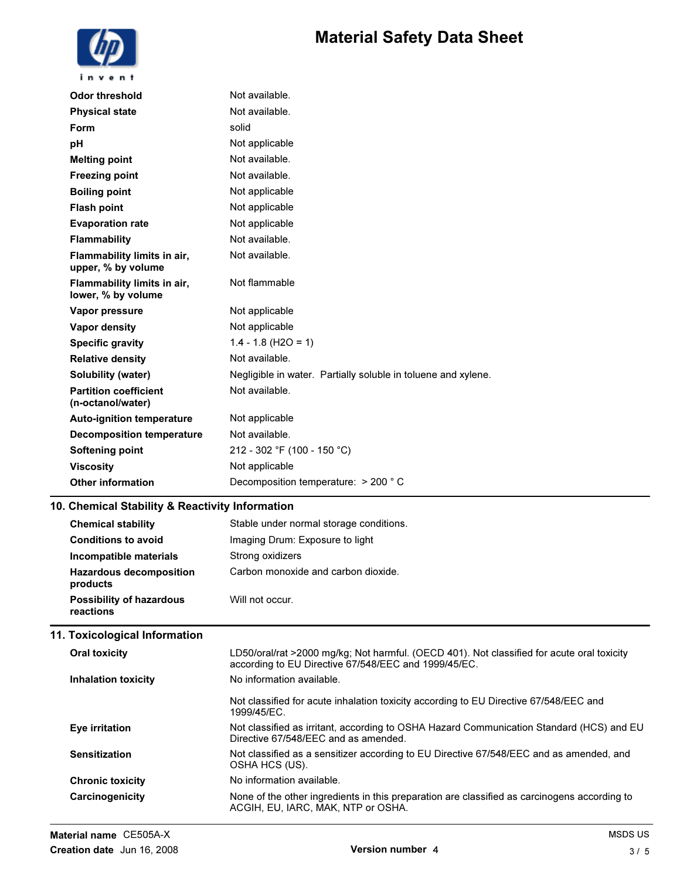# Material Safety Data Sheet



| <b>Odor threshold</b>                             | Not available.                                                |
|---------------------------------------------------|---------------------------------------------------------------|
| <b>Physical state</b>                             | Not available.                                                |
| Form                                              | solid                                                         |
| рH                                                | Not applicable                                                |
| <b>Melting point</b>                              | Not available.                                                |
| <b>Freezing point</b>                             | Not available.                                                |
| <b>Boiling point</b>                              | Not applicable                                                |
| <b>Flash point</b>                                | Not applicable                                                |
| <b>Evaporation rate</b>                           | Not applicable                                                |
| <b>Flammability</b>                               | Not available.                                                |
| Flammability limits in air,<br>upper, % by volume | Not available.                                                |
| Flammability limits in air,<br>lower, % by volume | Not flammable                                                 |
| Vapor pressure                                    | Not applicable                                                |
| <b>Vapor density</b>                              | Not applicable                                                |
| <b>Specific gravity</b>                           | $1.4 - 1.8$ (H2O = 1)                                         |
| <b>Relative density</b>                           | Not available.                                                |
| Solubility (water)                                | Negligible in water. Partially soluble in toluene and xylene. |
| <b>Partition coefficient</b><br>(n-octanol/water) | Not available.                                                |
| <b>Auto-ignition temperature</b>                  | Not applicable                                                |
| <b>Decomposition temperature</b>                  | Not available.                                                |
| <b>Softening point</b>                            | 212 - 302 °F (100 - 150 °C)                                   |
| <b>Viscosity</b>                                  | Not applicable                                                |
| <b>Other information</b>                          | Decomposition temperature: > 200 °C                           |
| 10. Chemical Stability & Reactivity Information   |                                                               |
| <b>Chemical stability</b>                         | Stable under normal storage conditions.                       |
| <b>Conditions to avoid</b>                        | Imaging Drum: Exposure to light                               |
|                                                   |                                                               |

| 11. Toxicological Information                |                                     |
|----------------------------------------------|-------------------------------------|
| <b>Possibility of hazardous</b><br>reactions | Will not occur.                     |
| <b>Hazardous decomposition</b><br>products   | Carbon monoxide and carbon dioxide. |
| Incompatible materials                       | Strong oxidizers                    |

| Oral toxicity              | LD50/oral/rat >2000 mg/kg; Not harmful. (OECD 401). Not classified for acute oral toxicity<br>according to EU Directive 67/548/EEC and 1999/45/EC. |
|----------------------------|----------------------------------------------------------------------------------------------------------------------------------------------------|
| <b>Inhalation toxicity</b> | No information available.                                                                                                                          |
|                            | Not classified for acute inhalation toxicity according to EU Directive 67/548/EEC and<br>1999/45/EC.                                               |
| Eye irritation             | Not classified as irritant, according to OSHA Hazard Communication Standard (HCS) and EU<br>Directive 67/548/FFC and as amended.                   |
| <b>Sensitization</b>       | Not classified as a sensitizer according to EU Directive 67/548/EEC and as amended, and<br>OSHA HCS (US).                                          |
| <b>Chronic toxicity</b>    | No information available.                                                                                                                          |
| Carcinogenicity            | None of the other ingredients in this preparation are classified as carcinogens according to<br>ACGIH, EU, IARC, MAK, NTP or OSHA.                 |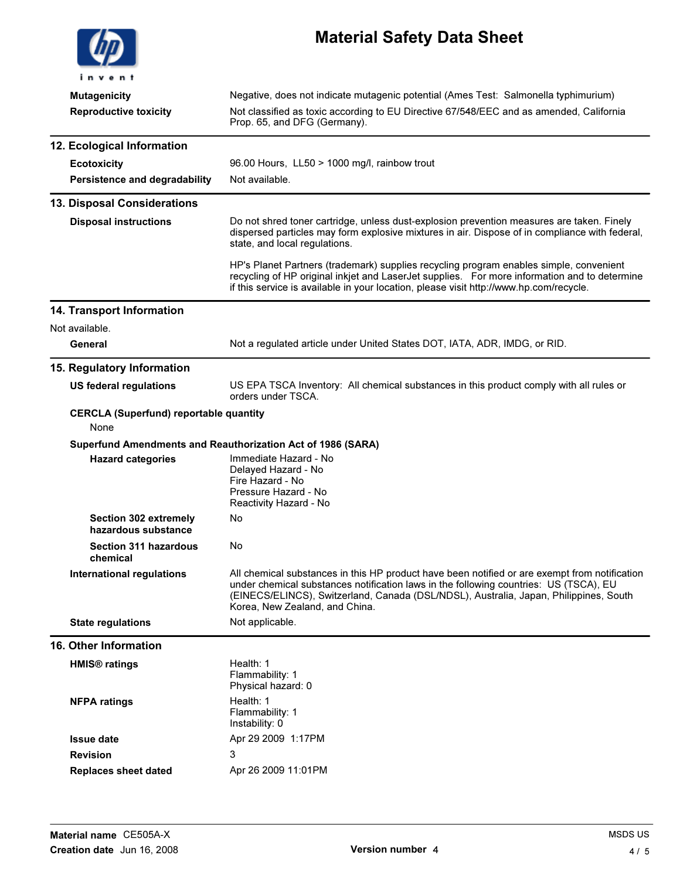| invent                                                | <b>Material Safety Data Sheet</b>                                                                                                                                                                                                                                                                                 |  |
|-------------------------------------------------------|-------------------------------------------------------------------------------------------------------------------------------------------------------------------------------------------------------------------------------------------------------------------------------------------------------------------|--|
|                                                       |                                                                                                                                                                                                                                                                                                                   |  |
| <b>Mutagenicity</b><br><b>Reproductive toxicity</b>   | Negative, does not indicate mutagenic potential (Ames Test: Salmonella typhimurium)<br>Not classified as toxic according to EU Directive 67/548/EEC and as amended, California<br>Prop. 65, and DFG (Germany).                                                                                                    |  |
| 12. Ecological Information                            |                                                                                                                                                                                                                                                                                                                   |  |
| <b>Ecotoxicity</b>                                    | 96.00 Hours, LL50 > 1000 mg/l, rainbow trout                                                                                                                                                                                                                                                                      |  |
| Persistence and degradability                         | Not available.                                                                                                                                                                                                                                                                                                    |  |
| 13. Disposal Considerations                           |                                                                                                                                                                                                                                                                                                                   |  |
| <b>Disposal instructions</b>                          | Do not shred toner cartridge, unless dust-explosion prevention measures are taken. Finely<br>dispersed particles may form explosive mixtures in air. Dispose of in compliance with federal,<br>state, and local regulations.                                                                                      |  |
|                                                       | HP's Planet Partners (trademark) supplies recycling program enables simple, convenient<br>recycling of HP original inkjet and LaserJet supplies. For more information and to determine<br>if this service is available in your location, please visit http://www.hp.com/recycle.                                  |  |
| 14. Transport Information                             |                                                                                                                                                                                                                                                                                                                   |  |
| Not available.                                        |                                                                                                                                                                                                                                                                                                                   |  |
| General                                               | Not a regulated article under United States DOT, IATA, ADR, IMDG, or RID.                                                                                                                                                                                                                                         |  |
| 15. Regulatory Information                            |                                                                                                                                                                                                                                                                                                                   |  |
| <b>US federal regulations</b>                         | US EPA TSCA Inventory: All chemical substances in this product comply with all rules or<br>orders under TSCA.                                                                                                                                                                                                     |  |
| <b>CERCLA (Superfund) reportable quantity</b><br>None |                                                                                                                                                                                                                                                                                                                   |  |
|                                                       | Superfund Amendments and Reauthorization Act of 1986 (SARA)                                                                                                                                                                                                                                                       |  |
| <b>Hazard categories</b>                              | Immediate Hazard - No<br>Delayed Hazard - No<br>Fire Hazard - No<br>Pressure Hazard - No<br>Reactivity Hazard - No                                                                                                                                                                                                |  |
| Section 302 extremely<br>hazardous substance          | No                                                                                                                                                                                                                                                                                                                |  |
| <b>Section 311 hazardous</b><br>chemical              | No                                                                                                                                                                                                                                                                                                                |  |
| <b>International regulations</b>                      | All chemical substances in this HP product have been notified or are exempt from notification<br>under chemical substances notification laws in the following countries: US (TSCA), EU<br>(EINECS/ELINCS), Switzerland, Canada (DSL/NDSL), Australia, Japan, Philippines, South<br>Korea, New Zealand, and China. |  |
| <b>State regulations</b>                              | Not applicable.                                                                                                                                                                                                                                                                                                   |  |
| <b>16. Other Information</b>                          |                                                                                                                                                                                                                                                                                                                   |  |
| <b>HMIS<sup>®</sup></b> ratings                       | Health: 1<br>Flammability: 1<br>Physical hazard: 0                                                                                                                                                                                                                                                                |  |
| <b>NFPA ratings</b>                                   | Health: 1<br>Flammability: 1<br>Instability: 0                                                                                                                                                                                                                                                                    |  |
| <b>Issue date</b>                                     | Apr 29 2009 1:17PM                                                                                                                                                                                                                                                                                                |  |
| <b>Revision</b>                                       | 3                                                                                                                                                                                                                                                                                                                 |  |
| <b>Replaces sheet dated</b>                           | Apr 26 2009 11:01PM                                                                                                                                                                                                                                                                                               |  |